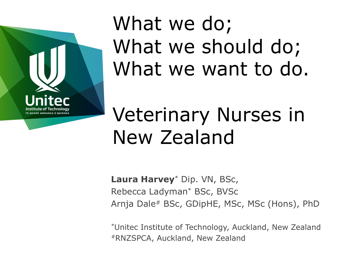

## What we do; What we should do; What we want to do.

### Veterinary Nurses in New Zealand

**Laura Harvey**\* Dip. VN, BSc, Rebecca Ladyman\* BSc, BVSc Arnja Dale# BSc, GDipHE, MSc, MSc (Hons), PhD

\*Unitec Institute of Technology, Auckland, New Zealand #RNZSPCA, Auckland, New Zealand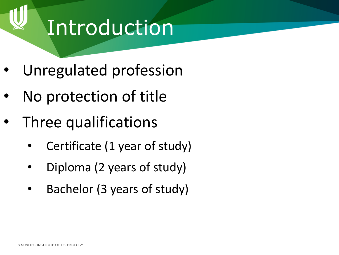#### Introduction

- Unregulated profession
- No protection of title
- Three qualifications
	- Certificate (1 year of study)
	- Diploma (2 years of study)
	- Bachelor (3 years of study)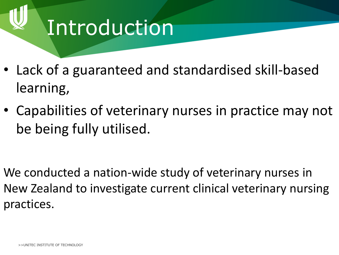### Introduction

- Lack of a guaranteed and standardised skill-based learning,
- Capabilities of veterinary nurses in practice may not be being fully utilised.

We conducted a nation-wide study of veterinary nurses in New Zealand to investigate current clinical veterinary nursing practices.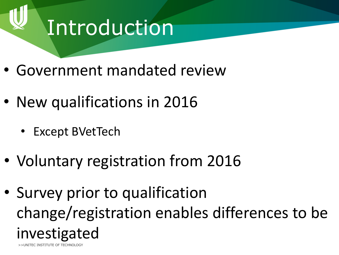### Introduction

- Government mandated review
- New qualifications in 2016
	- Except BVetTech
- Voluntary registration from 2016
- >>UNITEC INSTITUTE OF TECHNOLOGY • Survey prior to qualification change/registration enables differences to be investigated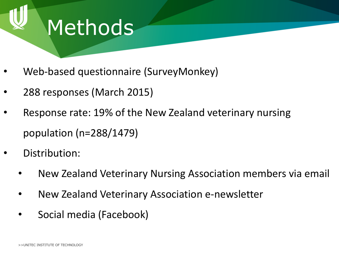

- Web-based questionnaire (SurveyMonkey)
- 288 responses (March 2015)
- Response rate: 19% of the New Zealand veterinary nursing population (n=288/1479)
- Distribution:
	- New Zealand Veterinary Nursing Association members via email
	- New Zealand Veterinary Association e-newsletter
	- Social media (Facebook)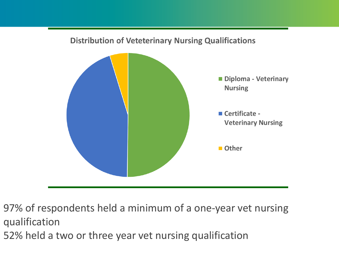#### **Distribution of Veteterinary Nursing Qualifications**



97% of respondents held a minimum of a one-year vet nursing qualification

52% held a two or three year vet nursing qualification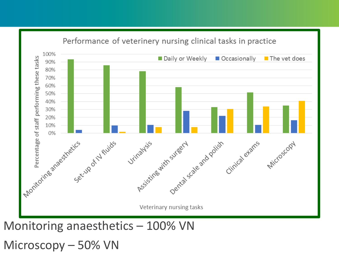

Microscopy - 50% VN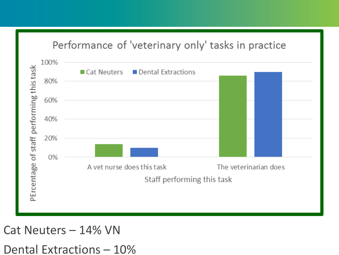#### Performance of 'veterinary only' tasks in practice



Cat Neuters – 14% VN Dental Extractions  $-10%$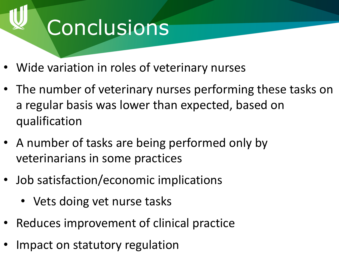# **Conclusions**

- Wide variation in roles of veterinary nurses
- The number of veterinary nurses performing these tasks on a regular basis was lower than expected, based on qualification
- A number of tasks are being performed only by veterinarians in some practices
- Job satisfaction/economic implications
	- Vets doing vet nurse tasks
- Reduces improvement of clinical practice
- IMNACT ON ST • Impact on statutory regulation